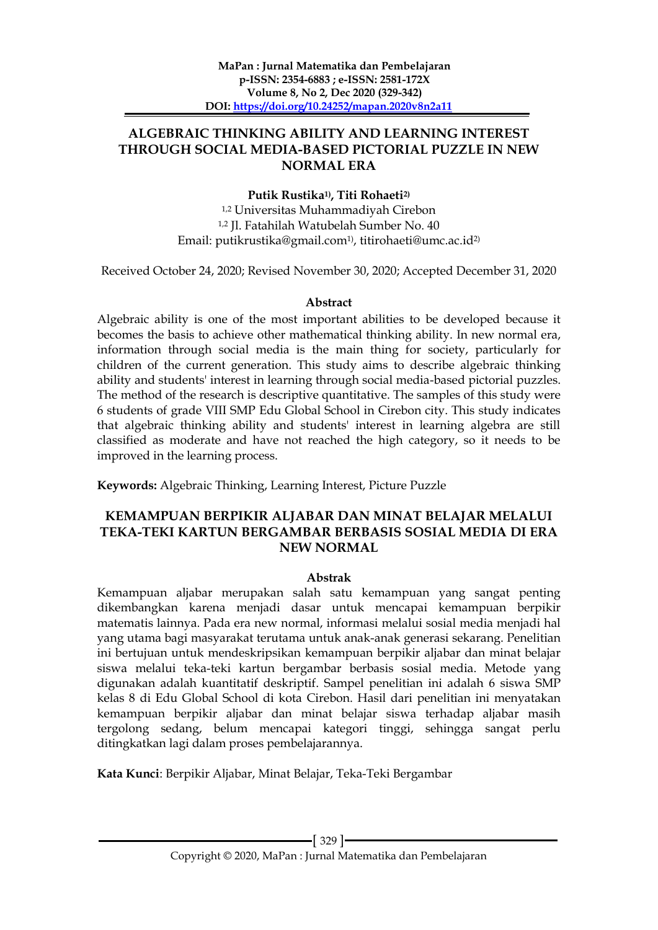### **ALGEBRAIC THINKING ABILITY AND LEARNING INTEREST THROUGH SOCIAL MEDIA-BASED PICTORIAL PUZZLE IN NEW NORMAL ERA**

## **Putik Rustika1) , Titi Rohaeti2)**

1,2 Universitas Muhammadiyah Cirebon 1,2 Jl. Fatahilah Watubelah Sumber No. 40 Email: putikrustika@gmail.com1) , titirohaeti@umc.ac.id2)

Received October 24, 2020; Revised November 30, 2020; Accepted December 31, 2020

#### **Abstract**

Algebraic ability is one of the most important abilities to be developed because it becomes the basis to achieve other mathematical thinking ability. In new normal era, information through social media is the main thing for society, particularly for children of the current generation. This study aims to describe algebraic thinking ability and students' interest in learning through social media-based pictorial puzzles. The method of the research is descriptive quantitative. The samples of this study were 6 students of grade VIII SMP Edu Global School in Cirebon city. This study indicates that algebraic thinking ability and students' interest in learning algebra are still classified as moderate and have not reached the high category, so it needs to be improved in the learning process.

**Keywords:** Algebraic Thinking, Learning Interest, Picture Puzzle

### **KEMAMPUAN BERPIKIR ALJABAR DAN MINAT BELAJAR MELALUI TEKA-TEKI KARTUN BERGAMBAR BERBASIS SOSIAL MEDIA DI ERA NEW NORMAL**

#### **Abstrak**

Kemampuan aljabar merupakan salah satu kemampuan yang sangat penting dikembangkan karena menjadi dasar untuk mencapai kemampuan berpikir matematis lainnya. Pada era new normal, informasi melalui sosial media menjadi hal yang utama bagi masyarakat terutama untuk anak-anak generasi sekarang. Penelitian ini bertujuan untuk mendeskripsikan kemampuan berpikir aljabar dan minat belajar siswa melalui teka-teki kartun bergambar berbasis sosial media. Metode yang digunakan adalah kuantitatif deskriptif. Sampel penelitian ini adalah 6 siswa SMP kelas 8 di Edu Global School di kota Cirebon. Hasil dari penelitian ini menyatakan kemampuan berpikir aljabar dan minat belajar siswa terhadap aljabar masih tergolong sedang, belum mencapai kategori tinggi, sehingga sangat perlu ditingkatkan lagi dalam proses pembelajarannya.

**Kata Kunci**: Berpikir Aljabar, Minat Belajar, Teka-Teki Bergambar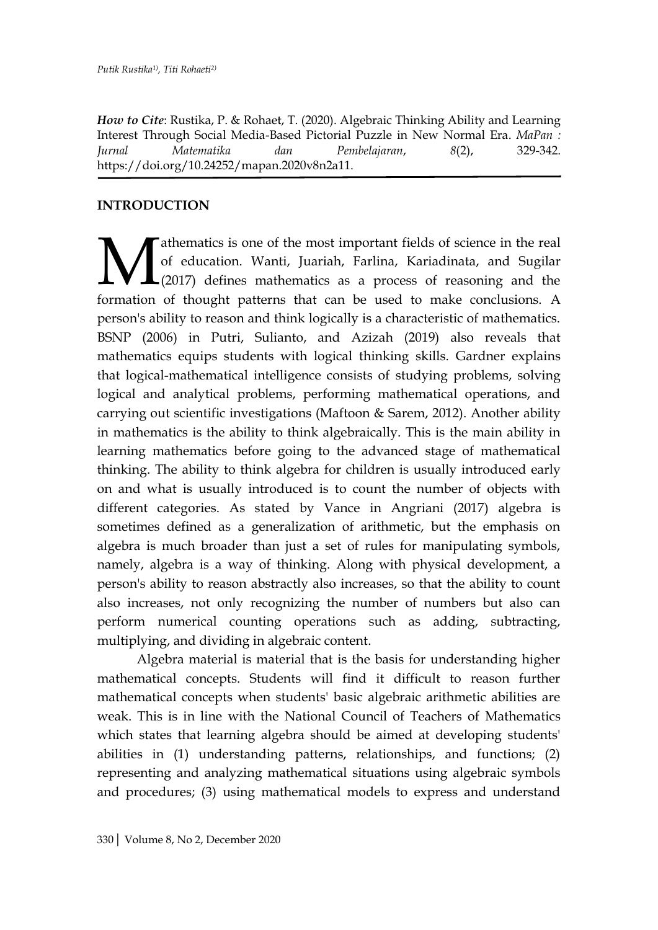*How to Cite*: Rustika, P. & Rohaet, T. (2020). Algebraic Thinking Ability and Learning Interest Through Social Media-Based Pictorial Puzzle in New Normal Era. *MaPan : Jurnal Matematika dan Pembelajaran*, *8*(2), 329-342. https://doi.org/10.24252/mapan.2020v8n2a11.

## **INTRODUCTION**

athematics is one of the most important fields of science in the real of education. Wanti, Juariah, Farlina, Kariadinata, and Sugilar  $\mathsf{L}_{(2017)}$  defines mathematics as a process of reasoning and the **formatics** is one of the most important fields of science in the real of education. Wanti, Juariah, Farlina, Kariadinata, and Sugilar (2017) defines mathematics as a process of reasoning and the formation of thought patte person's ability to reason and think logically is a characteristic of mathematics. BSNP (2006) in Putri, Sulianto, and Azizah (2019) also reveals that mathematics equips students with logical thinking skills. Gardner explains that logical-mathematical intelligence consists of studying problems, solving logical and analytical problems, performing mathematical operations, and carrying out scientific investigations (Maftoon & Sarem, 2012). Another ability in mathematics is the ability to think algebraically. This is the main ability in learning mathematics before going to the advanced stage of mathematical thinking. The ability to think algebra for children is usually introduced early on and what is usually introduced is to count the number of objects with different categories. As stated by Vance in Angriani (2017) algebra is sometimes defined as a generalization of arithmetic, but the emphasis on algebra is much broader than just a set of rules for manipulating symbols, namely, algebra is a way of thinking. Along with physical development, a person's ability to reason abstractly also increases, so that the ability to count also increases, not only recognizing the number of numbers but also can perform numerical counting operations such as adding, subtracting, multiplying, and dividing in algebraic content.

Algebra material is material that is the basis for understanding higher mathematical concepts. Students will find it difficult to reason further mathematical concepts when students' basic algebraic arithmetic abilities are weak. This is in line with the National Council of Teachers of Mathematics which states that learning algebra should be aimed at developing students' abilities in (1) understanding patterns, relationships, and functions; (2) representing and analyzing mathematical situations using algebraic symbols and procedures; (3) using mathematical models to express and understand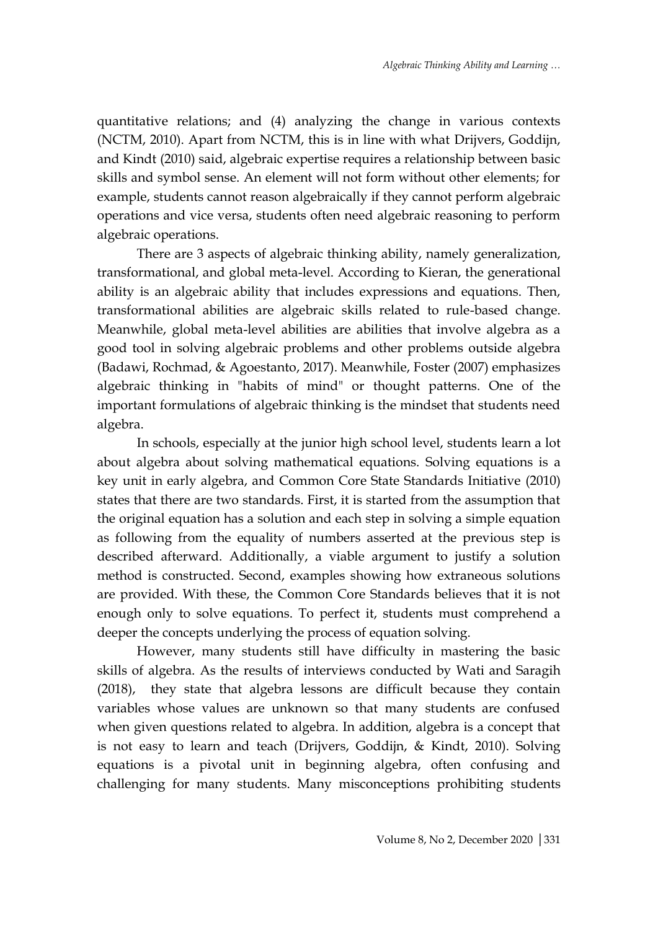quantitative relations; and (4) analyzing the change in various contexts (NCTM, 2010). Apart from NCTM, this is in line with what Drijvers, Goddijn, and Kindt (2010) said, algebraic expertise requires a relationship between basic skills and symbol sense. An element will not form without other elements; for example, students cannot reason algebraically if they cannot perform algebraic operations and vice versa, students often need algebraic reasoning to perform algebraic operations.

There are 3 aspects of algebraic thinking ability, namely generalization, transformational, and global meta-level. According to Kieran, the generational ability is an algebraic ability that includes expressions and equations. Then, transformational abilities are algebraic skills related to rule-based change. Meanwhile, global meta-level abilities are abilities that involve algebra as a good tool in solving algebraic problems and other problems outside algebra (Badawi, Rochmad, & Agoestanto, 2017). Meanwhile, Foster (2007) emphasizes algebraic thinking in "habits of mind" or thought patterns. One of the important formulations of algebraic thinking is the mindset that students need algebra.

In schools, especially at the junior high school level, students learn a lot about algebra about solving mathematical equations. Solving equations is a key unit in early algebra, and Common Core State Standards Initiative (2010) states that there are two standards. First, it is started from the assumption that the original equation has a solution and each step in solving a simple equation as following from the equality of numbers asserted at the previous step is described afterward. Additionally, a viable argument to justify a solution method is constructed. Second, examples showing how extraneous solutions are provided. With these, the Common Core Standards believes that it is not enough only to solve equations. To perfect it, students must comprehend a deeper the concepts underlying the process of equation solving.

However, many students still have difficulty in mastering the basic skills of algebra. As the results of interviews conducted by Wati and Saragih (2018), they state that algebra lessons are difficult because they contain variables whose values are unknown so that many students are confused when given questions related to algebra. In addition, algebra is a concept that is not easy to learn and teach (Drijvers, Goddijn, & Kindt, 2010). Solving equations is a pivotal unit in beginning algebra, often confusing and challenging for many students. Many misconceptions prohibiting students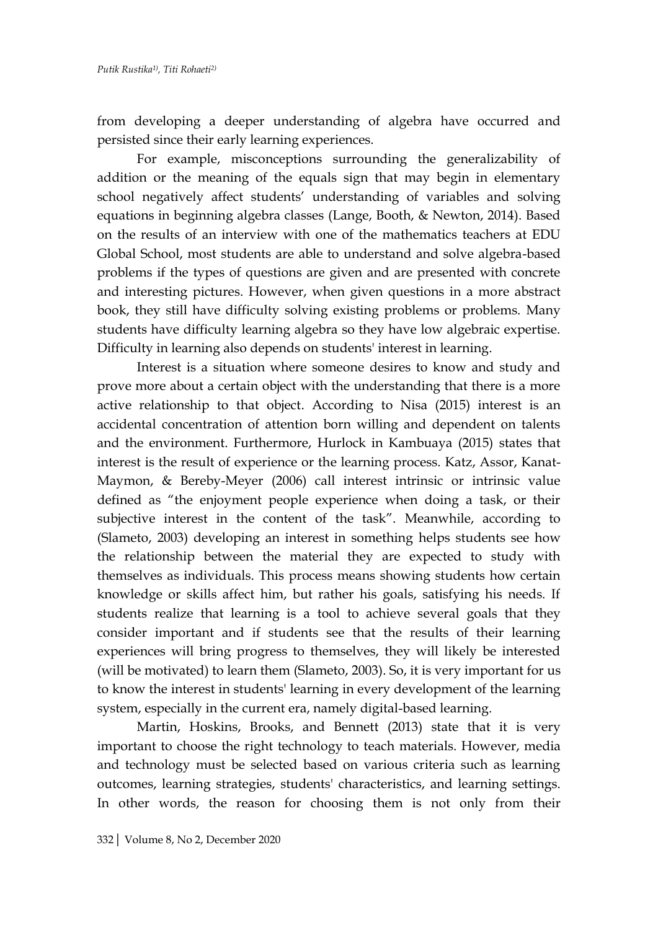from developing a deeper understanding of algebra have occurred and persisted since their early learning experiences.

For example, misconceptions surrounding the generalizability of addition or the meaning of the equals sign that may begin in elementary school negatively affect students' understanding of variables and solving equations in beginning algebra classes (Lange, Booth, & Newton, 2014). Based on the results of an interview with one of the mathematics teachers at EDU Global School, most students are able to understand and solve algebra-based problems if the types of questions are given and are presented with concrete and interesting pictures. However, when given questions in a more abstract book, they still have difficulty solving existing problems or problems. Many students have difficulty learning algebra so they have low algebraic expertise. Difficulty in learning also depends on students' interest in learning.

Interest is a situation where someone desires to know and study and prove more about a certain object with the understanding that there is a more active relationship to that object. According to Nisa (2015) interest is an accidental concentration of attention born willing and dependent on talents and the environment. Furthermore, Hurlock in Kambuaya (2015) states that interest is the result of experience or the learning process. Katz, Assor, Kanat-Maymon, & Bereby-Meyer (2006) call interest intrinsic or intrinsic value defined as "the enjoyment people experience when doing a task, or their subjective interest in the content of the task". Meanwhile, according to (Slameto, 2003) developing an interest in something helps students see how the relationship between the material they are expected to study with themselves as individuals. This process means showing students how certain knowledge or skills affect him, but rather his goals, satisfying his needs. If students realize that learning is a tool to achieve several goals that they consider important and if students see that the results of their learning experiences will bring progress to themselves, they will likely be interested (will be motivated) to learn them (Slameto, 2003). So, it is very important for us to know the interest in students' learning in every development of the learning system, especially in the current era, namely digital-based learning.

Martin, Hoskins, Brooks, and Bennett (2013) state that it is very important to choose the right technology to teach materials. However, media and technology must be selected based on various criteria such as learning outcomes, learning strategies, students' characteristics, and learning settings. In other words, the reason for choosing them is not only from their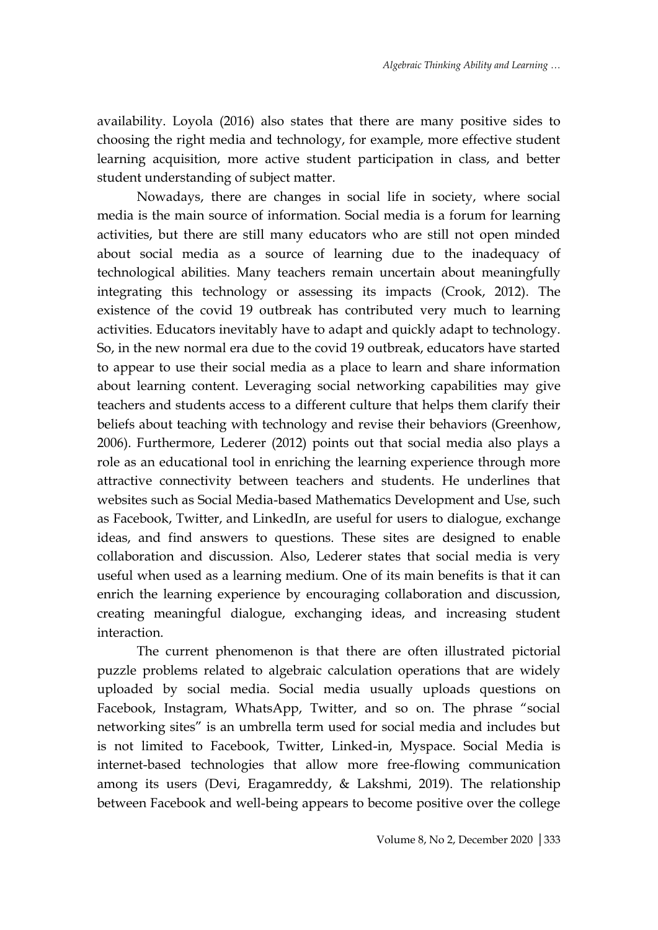*Algebraic Thinking Ability and Learning …*

availability. Loyola (2016) also states that there are many positive sides to choosing the right media and technology, for example, more effective student learning acquisition, more active student participation in class, and better student understanding of subject matter.

Nowadays, there are changes in social life in society, where social media is the main source of information. Social media is a forum for learning activities, but there are still many educators who are still not open minded about social media as a source of learning due to the inadequacy of technological abilities. Many teachers remain uncertain about meaningfully integrating this technology or assessing its impacts (Crook, 2012). The existence of the covid 19 outbreak has contributed very much to learning activities. Educators inevitably have to adapt and quickly adapt to technology. So, in the new normal era due to the covid 19 outbreak, educators have started to appear to use their social media as a place to learn and share information about learning content. Leveraging social networking capabilities may give teachers and students access to a different culture that helps them clarify their beliefs about teaching with technology and revise their behaviors (Greenhow, 2006). Furthermore, Lederer (2012) points out that social media also plays a role as an educational tool in enriching the learning experience through more attractive connectivity between teachers and students. He underlines that websites such as Social Media-based Mathematics Development and Use, such as Facebook, Twitter, and LinkedIn, are useful for users to dialogue, exchange ideas, and find answers to questions. These sites are designed to enable collaboration and discussion. Also, Lederer states that social media is very useful when used as a learning medium. One of its main benefits is that it can enrich the learning experience by encouraging collaboration and discussion, creating meaningful dialogue, exchanging ideas, and increasing student interaction.

The current phenomenon is that there are often illustrated pictorial puzzle problems related to algebraic calculation operations that are widely uploaded by social media. Social media usually uploads questions on Facebook, Instagram, WhatsApp, Twitter, and so on. The phrase "social networking sites" is an umbrella term used for social media and includes but is not limited to Facebook, Twitter, Linked-in, Myspace. Social Media is internet-based technologies that allow more free-flowing communication among its users (Devi, Eragamreddy, & Lakshmi, 2019). The relationship between Facebook and well-being appears to become positive over the college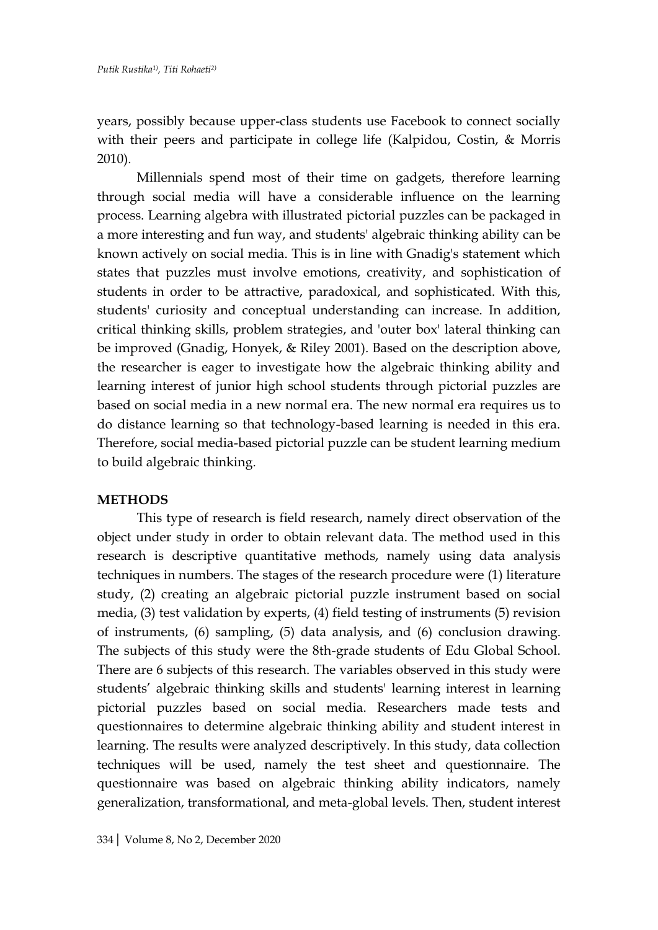years, possibly because upper-class students use Facebook to connect socially with their peers and participate in college life (Kalpidou, Costin, & Morris 2010).

Millennials spend most of their time on gadgets, therefore learning through social media will have a considerable influence on the learning process. Learning algebra with illustrated pictorial puzzles can be packaged in a more interesting and fun way, and students' algebraic thinking ability can be known actively on social media. This is in line with Gnadig's statement which states that puzzles must involve emotions, creativity, and sophistication of students in order to be attractive, paradoxical, and sophisticated. With this, students' curiosity and conceptual understanding can increase. In addition, critical thinking skills, problem strategies, and 'outer box' lateral thinking can be improved (Gnadig, Honyek, & Riley 2001). Based on the description above, the researcher is eager to investigate how the algebraic thinking ability and learning interest of junior high school students through pictorial puzzles are based on social media in a new normal era. The new normal era requires us to do distance learning so that technology-based learning is needed in this era. Therefore, social media-based pictorial puzzle can be student learning medium to build algebraic thinking.

### **METHODS**

This type of research is field research, namely direct observation of the object under study in order to obtain relevant data. The method used in this research is descriptive quantitative methods, namely using data analysis techniques in numbers. The stages of the research procedure were (1) literature study, (2) creating an algebraic pictorial puzzle instrument based on social media, (3) test validation by experts, (4) field testing of instruments (5) revision of instruments, (6) sampling, (5) data analysis, and (6) conclusion drawing. The subjects of this study were the 8th-grade students of Edu Global School. There are 6 subjects of this research. The variables observed in this study were students' algebraic thinking skills and students' learning interest in learning pictorial puzzles based on social media. Researchers made tests and questionnaires to determine algebraic thinking ability and student interest in learning. The results were analyzed descriptively. In this study, data collection techniques will be used, namely the test sheet and questionnaire. The questionnaire was based on algebraic thinking ability indicators, namely generalization, transformational, and meta-global levels. Then, student interest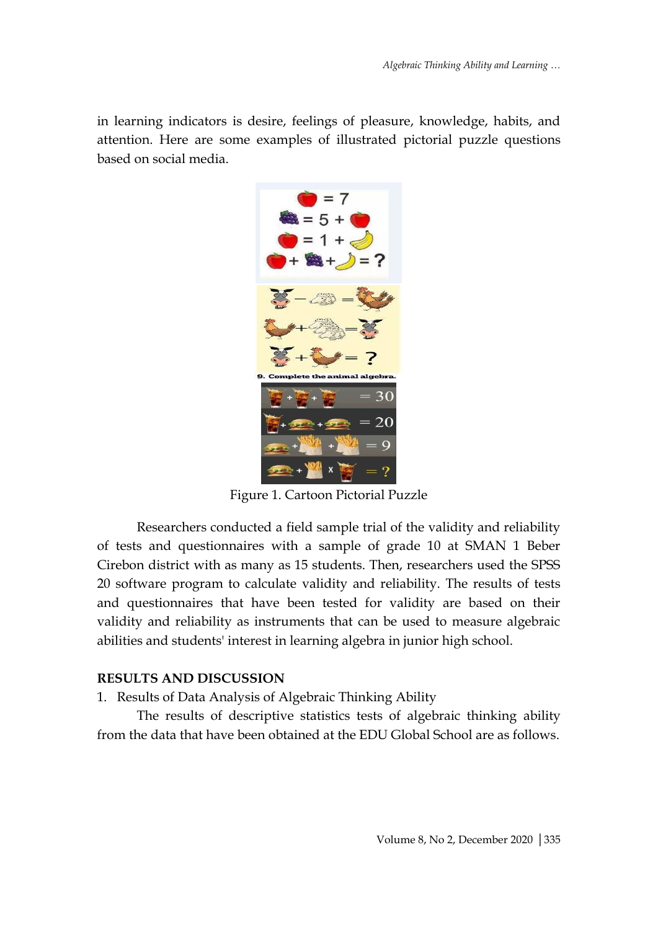in learning indicators is desire, feelings of pleasure, knowledge, habits, and attention. Here are some examples of illustrated pictorial puzzle questions based on social media.



Figure 1. Cartoon Pictorial Puzzle

Researchers conducted a field sample trial of the validity and reliability of tests and questionnaires with a sample of grade 10 at SMAN 1 Beber Cirebon district with as many as 15 students. Then, researchers used the SPSS 20 software program to calculate validity and reliability. The results of tests and questionnaires that have been tested for validity are based on their validity and reliability as instruments that can be used to measure algebraic abilities and students' interest in learning algebra in junior high school.

### **RESULTS AND DISCUSSION**

1. Results of Data Analysis of Algebraic Thinking Ability

The results of descriptive statistics tests of algebraic thinking ability from the data that have been obtained at the EDU Global School are as follows.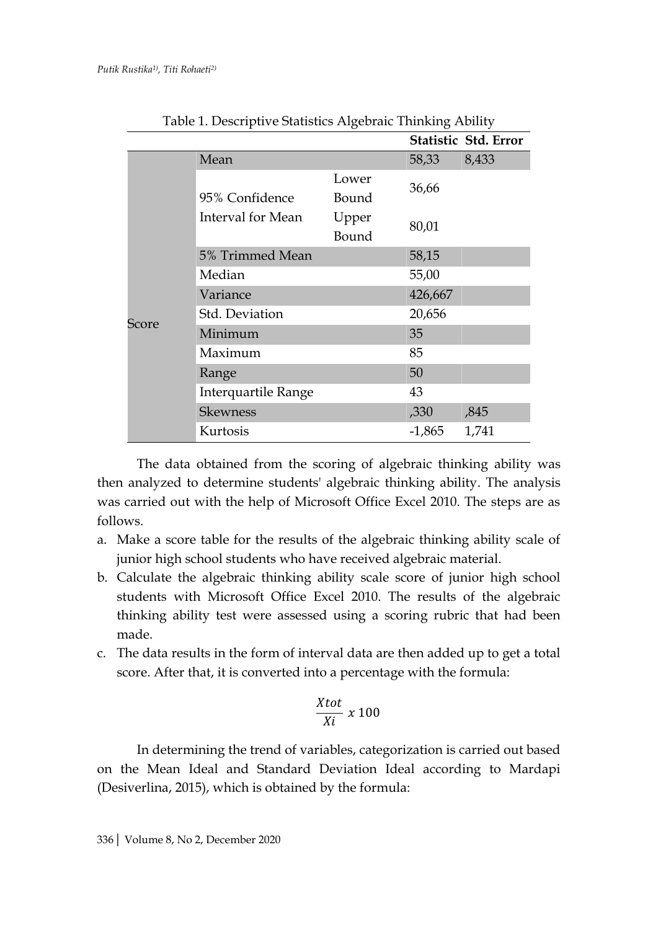|       |                            |       |          | Statistic Std. Error |
|-------|----------------------------|-------|----------|----------------------|
| Score | Mean                       |       | 58,33    | 8,433                |
|       |                            | Lower | 36,66    |                      |
|       | 95% Confidence             | Bound |          |                      |
|       | Interval for Mean          | Upper | 80,01    |                      |
|       |                            | Bound |          |                      |
|       | 5% Trimmed Mean            |       | 58,15    |                      |
|       | Median                     |       | 55,00    |                      |
|       | Variance                   |       | 426,667  |                      |
|       | Std. Deviation             |       | 20,656   |                      |
|       | Minimum                    |       | 35       |                      |
|       | Maximum                    |       | 85       |                      |
|       | Range                      |       | 50       |                      |
|       | <b>Interquartile Range</b> |       | 43       |                      |
|       | <b>Skewness</b>            |       | ,330     | ,845                 |
|       | Kurtosis                   |       | $-1,865$ | 1,741                |

Table 1. Descriptive Statistics Algebraic Thinking Ability

The data obtained from the scoring of algebraic thinking ability was then analyzed to determine students' algebraic thinking ability. The analysis was carried out with the help of Microsoft Office Excel 2010. The steps are as follows.

- a. Make a score table for the results of the algebraic thinking ability scale of junior high school students who have received algebraic material.
- b. Calculate the algebraic thinking ability scale score of junior high school students with Microsoft Office Excel 2010. The results of the algebraic thinking ability test were assessed using a scoring rubric that had been made.
- c. The data results in the form of interval data are then added up to get a total score. After that, it is converted into a percentage with the formula:

$$
\frac{X\tau}{Xi} \times 100
$$

In determining the trend of variables, categorization is carried out based on the Mean Ideal and Standard Deviation Ideal according to Mardapi (Desiverlina, 2015), which is obtained by the formula: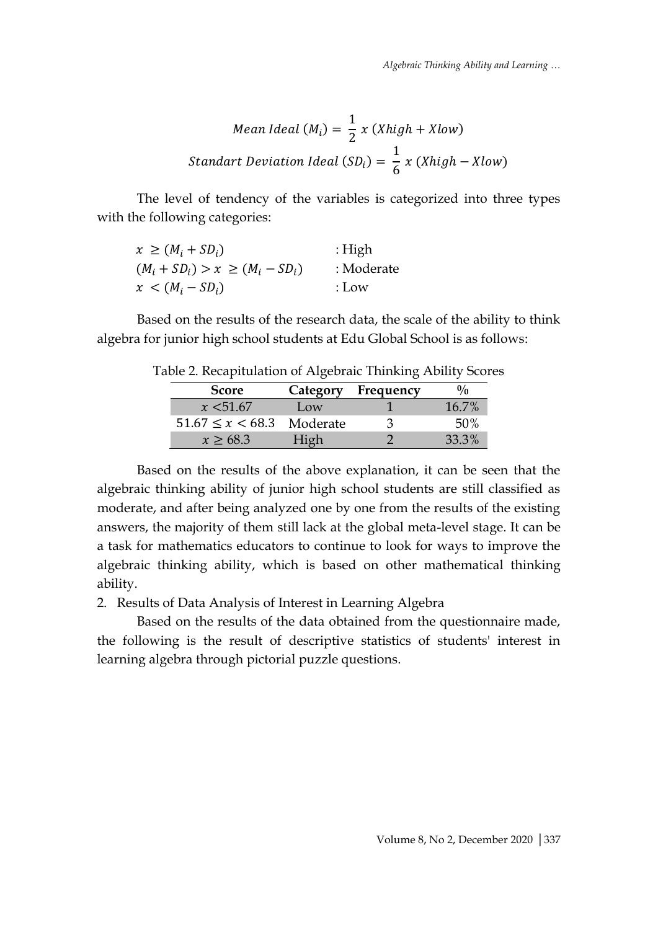Mean Ideal 
$$
(M_i) = \frac{1}{2} x (Xhigh + Xlow)
$$
  
Standard Deviation Ideal  $(SD_i) = \frac{1}{6} x (Xhigh - Xlow)$ 

The level of tendency of the variables is categorized into three types with the following categories:

| $x \ge (M_i + SD_i)$                 | : High     |
|--------------------------------------|------------|
| $(M_i + SD_i) > x \geq (M_i - SD_i)$ | : Moderate |
| $x < (M_i - SD_i)$                   | : Low      |

Based on the results of the research data, the scale of the ability to think algebra for junior high school students at Edu Global School is as follows:

| <b>Score</b>                      |      | Category Frequency | $\frac{0}{0}$ |
|-----------------------------------|------|--------------------|---------------|
| x < 51.67                         | Low  |                    | 16.7%         |
| $51.67 \leq x \leq 68.3$ Moderate |      | ΄-λ                | .50%          |
| x > 68.3                          | High |                    | 33.3%         |

Table 2. Recapitulation of Algebraic Thinking Ability Scores

Based on the results of the above explanation, it can be seen that the algebraic thinking ability of junior high school students are still classified as moderate, and after being analyzed one by one from the results of the existing answers, the majority of them still lack at the global meta-level stage. It can be a task for mathematics educators to continue to look for ways to improve the algebraic thinking ability, which is based on other mathematical thinking ability.

2. Results of Data Analysis of Interest in Learning Algebra

Based on the results of the data obtained from the questionnaire made, the following is the result of descriptive statistics of students' interest in learning algebra through pictorial puzzle questions.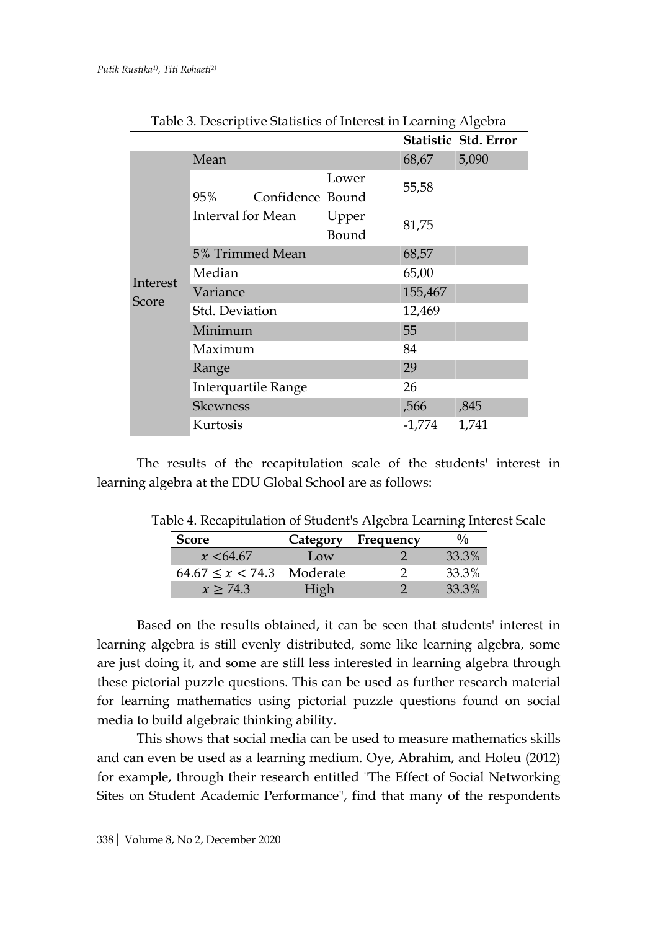|                   |                            |       |         | Statistic Std. Error |
|-------------------|----------------------------|-------|---------|----------------------|
| Interest<br>Score | Mean                       |       | 68,67   | 5,090                |
|                   |                            | Lower | 55,58   |                      |
|                   | 95%<br>Confidence Bound    |       |         |                      |
|                   | Interval for Mean          | Upper | 81,75   |                      |
|                   |                            | Bound |         |                      |
|                   | 5% Trimmed Mean            |       | 68,57   |                      |
|                   | Median                     |       | 65,00   |                      |
|                   | Variance                   |       | 155,467 |                      |
|                   | Std. Deviation             |       | 12,469  |                      |
|                   | Minimum                    |       | 55      |                      |
|                   | Maximum                    |       | 84      |                      |
|                   | Range                      |       | 29      |                      |
|                   | <b>Interquartile Range</b> |       | 26      |                      |
|                   | <b>Skewness</b>            |       | ,566    | ,845                 |
|                   | Kurtosis                   |       | -1,774  | 1,741                |

Table 3. Descriptive Statistics of Interest in Learning Algebra

The results of the recapitulation scale of the students' interest in learning algebra at the EDU Global School are as follows:

| Score                             | Category | Frequency | $\frac{0}{0}$ |
|-----------------------------------|----------|-----------|---------------|
| x < 64.67                         | LOW      |           | 33.3%         |
| $64.67 \leq x \leq 74.3$ Moderate |          |           | 33.3%         |
| x > 74.3                          | High     |           | 33.3%         |

Table 4. Recapitulation of Student's Algebra Learning Interest Scale

Based on the results obtained, it can be seen that students' interest in learning algebra is still evenly distributed, some like learning algebra, some are just doing it, and some are still less interested in learning algebra through these pictorial puzzle questions. This can be used as further research material for learning mathematics using pictorial puzzle questions found on social media to build algebraic thinking ability.

This shows that social media can be used to measure mathematics skills and can even be used as a learning medium. Oye, Abrahim, and Holeu (2012) for example, through their research entitled "The Effect of Social Networking Sites on Student Academic Performance", find that many of the respondents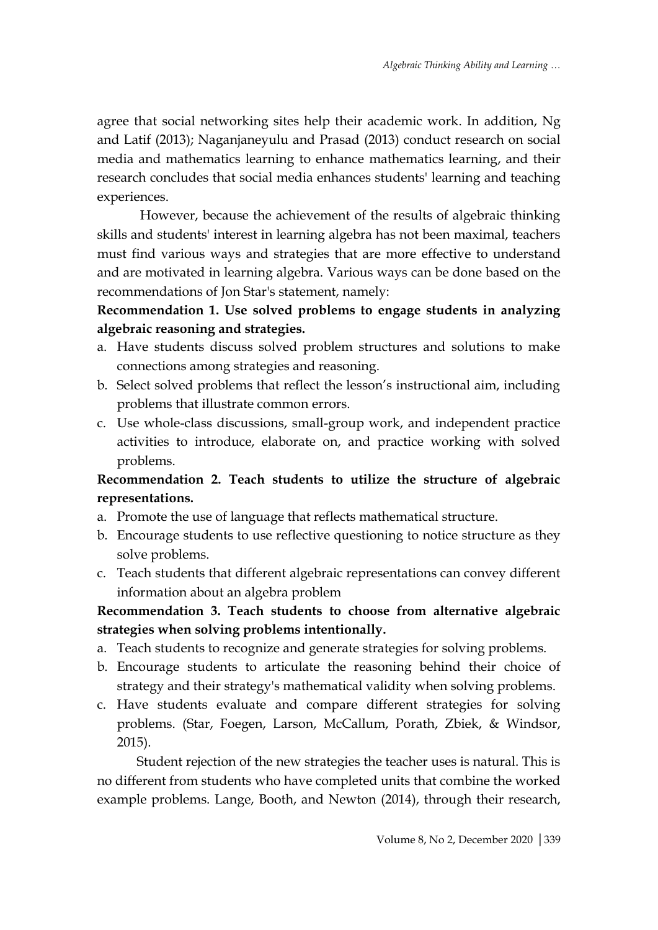agree that social networking sites help their academic work. In addition, Ng and Latif (2013); Naganjaneyulu and Prasad (2013) conduct research on social media and mathematics learning to enhance mathematics learning, and their research concludes that social media enhances students' learning and teaching experiences.

However, because the achievement of the results of algebraic thinking skills and students' interest in learning algebra has not been maximal, teachers must find various ways and strategies that are more effective to understand and are motivated in learning algebra. Various ways can be done based on the recommendations of Jon Star's statement, namely:

# **Recommendation 1. Use solved problems to engage students in analyzing algebraic reasoning and strategies.**

- a. Have students discuss solved problem structures and solutions to make connections among strategies and reasoning.
- b. Select solved problems that reflect the lesson's instructional aim, including problems that illustrate common errors.
- c. Use whole-class discussions, small-group work, and independent practice activities to introduce, elaborate on, and practice working with solved problems.

## **Recommendation 2. Teach students to utilize the structure of algebraic representations.**

- a. Promote the use of language that reflects mathematical structure.
- b. Encourage students to use reflective questioning to notice structure as they solve problems.
- c. Teach students that different algebraic representations can convey different information about an algebra problem

## **Recommendation 3. Teach students to choose from alternative algebraic strategies when solving problems intentionally.**

- a. Teach students to recognize and generate strategies for solving problems.
- b. Encourage students to articulate the reasoning behind their choice of strategy and their strategy's mathematical validity when solving problems.
- c. Have students evaluate and compare different strategies for solving problems. (Star, Foegen, Larson, McCallum, Porath, Zbiek, & Windsor, 2015).

Student rejection of the new strategies the teacher uses is natural. This is no different from students who have completed units that combine the worked example problems. Lange, Booth, and Newton (2014), through their research,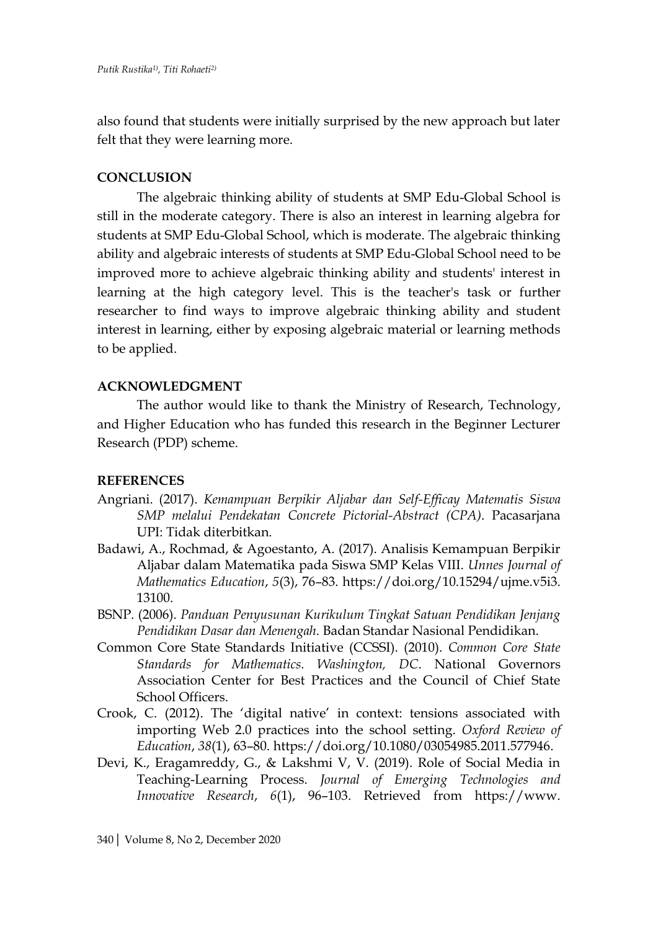also found that students were initially surprised by the new approach but later felt that they were learning more.

#### **CONCLUSION**

The algebraic thinking ability of students at SMP Edu-Global School is still in the moderate category. There is also an interest in learning algebra for students at SMP Edu-Global School, which is moderate. The algebraic thinking ability and algebraic interests of students at SMP Edu-Global School need to be improved more to achieve algebraic thinking ability and students' interest in learning at the high category level. This is the teacher's task or further researcher to find ways to improve algebraic thinking ability and student interest in learning, either by exposing algebraic material or learning methods to be applied.

#### **ACKNOWLEDGMENT**

The author would like to thank the Ministry of Research, Technology, and Higher Education who has funded this research in the Beginner Lecturer Research (PDP) scheme.

#### **REFERENCES**

- Angriani. (2017). *Kemampuan Berpikir Aljabar dan Self-Efficay Matematis Siswa SMP melalui Pendekatan Concrete Pictorial-Abstract (CPA)*. Pacasarjana UPI: Tidak diterbitkan.
- Badawi, A., Rochmad, & Agoestanto, A. (2017). Analisis Kemampuan Berpikir Aljabar dalam Matematika pada Siswa SMP Kelas VIII. *Unnes Journal of Mathematics Education*, *5*(3), 76–83. https://doi.org/10.15294/ujme.v5i3. 13100.
- BSNP. (2006). *Panduan Penyusunan Kurikulum Tingkat Satuan Pendidikan Jenjang Pendidikan Dasar dan Menengah*. Badan Standar Nasional Pendidikan.
- Common Core State Standards Initiative (CCSSI). (2010). *Common Core State Standards for Mathematics. Washington, DC*. National Governors Association Center for Best Practices and the Council of Chief State School Officers.
- Crook, C. (2012). The 'digital native' in context: tensions associated with importing Web 2.0 practices into the school setting. *Oxford Review of Education*, *38*(1), 63–80. https://doi.org/10.1080/03054985.2011.577946.
- Devi, K., Eragamreddy, G., & Lakshmi V, V. (2019). Role of Social Media in Teaching-Learning Process. *Journal of Emerging Technologies and Innovative Research*, *6*(1), 96–103. Retrieved from https://www.

340| Volume 8, No 2, December 2020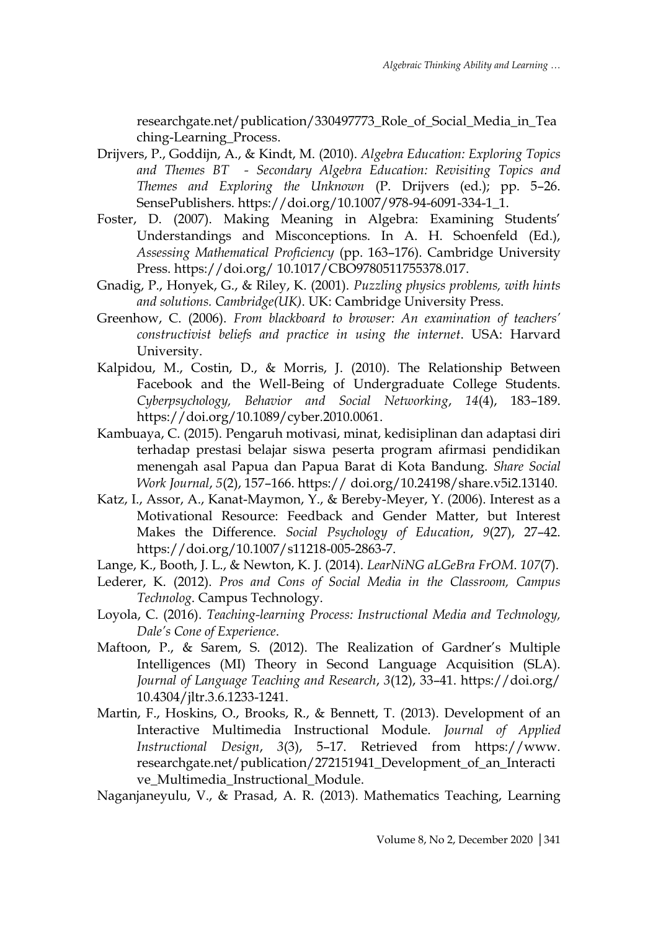researchgate.net/publication/330497773\_Role\_of\_Social\_Media\_in\_Tea ching-Learning\_Process.

- Drijvers, P., Goddijn, A., & Kindt, M. (2010). *Algebra Education: Exploring Topics and Themes BT - Secondary Algebra Education: Revisiting Topics and Themes and Exploring the Unknown* (P. Drijvers (ed.); pp. 5–26. SensePublishers. https://doi.org/10.1007/978-94-6091-334-1\_1.
- Foster, D. (2007). Making Meaning in Algebra: Examining Students' Understandings and Misconceptions. In A. H. Schoenfeld (Ed.), *Assessing Mathematical Proficiency* (pp. 163–176). Cambridge University Press. https://doi.org/ 10.1017/CBO9780511755378.017.
- Gnadig, P., Honyek, G., & Riley, K. (2001). *Puzzling physics problems, with hints and solutions. Cambridge(UK)*. UK: Cambridge University Press.
- Greenhow, C. (2006). *From blackboard to browser: An examination of teachers' constructivist beliefs and practice in using the internet*. USA: Harvard University.
- Kalpidou, M., Costin, D., & Morris, J. (2010). The Relationship Between Facebook and the Well-Being of Undergraduate College Students. *Cyberpsychology, Behavior and Social Networking*, *14*(4), 183–189. https://doi.org/10.1089/cyber.2010.0061.
- Kambuaya, C. (2015). Pengaruh motivasi, minat, kedisiplinan dan adaptasi diri terhadap prestasi belajar siswa peserta program afirmasi pendidikan menengah asal Papua dan Papua Barat di Kota Bandung. *Share Social Work Journal*, *5*(2), 157–166. https:// doi.org/10.24198/share.v5i2.13140.
- Katz, I., Assor, A., Kanat-Maymon, Y., & Bereby-Meyer, Y. (2006). Interest as a Motivational Resource: Feedback and Gender Matter, but Interest Makes the Difference. *Social Psychology of Education*, *9*(27), 27–42. https://doi.org/10.1007/s11218-005-2863-7.
- Lange, K., Booth, J. L., & Newton, K. J. (2014). *LearNiNG aLGeBra FrOM*. *107*(7).
- Lederer, K. (2012). *Pros and Cons of Social Media in the Classroom, Campus Technolog*. Campus Technology.
- Loyola, C. (2016). *Teaching-learning Process: Instructional Media and Technology, Dale's Cone of Experience*.
- Maftoon, P., & Sarem, S. (2012). The Realization of Gardner's Multiple Intelligences (MI) Theory in Second Language Acquisition (SLA). *Journal of Language Teaching and Research*, *3*(12), 33–41. https://doi.org/ 10.4304/jltr.3.6.1233-1241.
- Martin, F., Hoskins, O., Brooks, R., & Bennett, T. (2013). Development of an Interactive Multimedia Instructional Module. *Journal of Applied Instructional Design*, *3*(3), 5–17. Retrieved from https://www. researchgate.net/publication/272151941\_Development\_of\_an\_Interacti ve\_Multimedia\_Instructional\_Module.

Naganjaneyulu, V., & Prasad, A. R. (2013). Mathematics Teaching, Learning